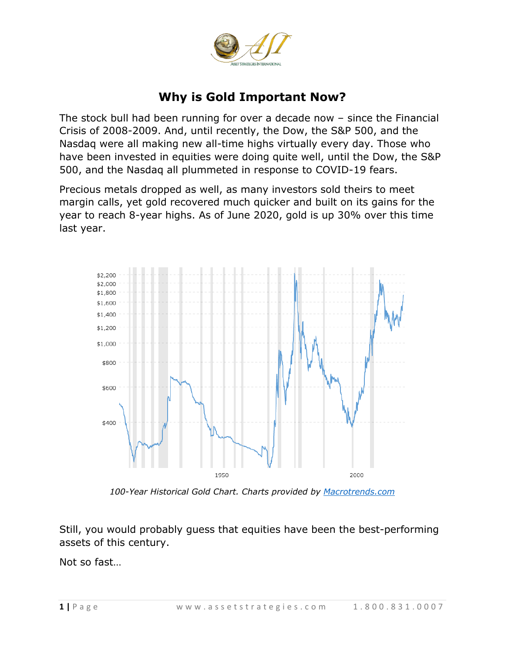

# **Why is Gold Important Now?**

The stock bull had been running for over a decade now – since the Financial Crisis of 2008-2009. And, until recently, the Dow, the S&P 500, and the Nasdaq were all making new all-time highs virtually every day. Those who have been invested in equities were doing quite well, until the Dow, the S&P 500, and the Nasdaq all plummeted in response to COVID-19 fears.

Precious metals dropped as well, as many investors sold theirs to meet margin calls, yet gold recovered much quicker and built on its gains for the year to reach 8-year highs. As of June 2020, gold is up 30% over this time last year.



*100-Year Historical Gold Chart. Charts provided by [Macrotrends.com](https://www.macrotrends.net/1333/historical-gold-prices-100-year-chart)*

Still, you would probably guess that equities have been the best-performing assets of this century.

Not so fast…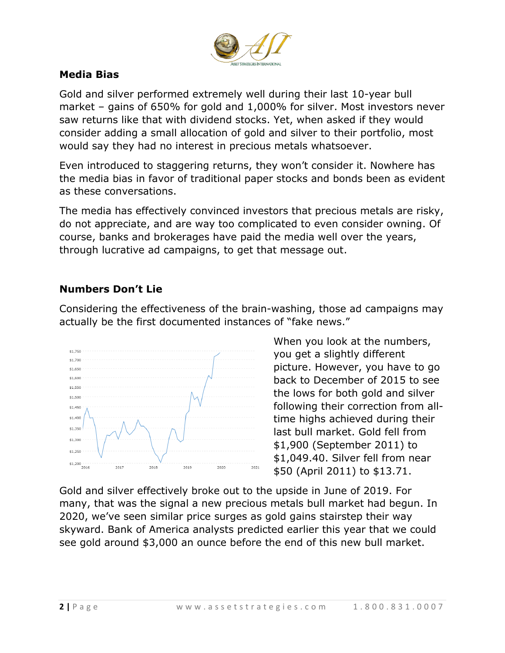

## **Media Bias**

Gold and silver performed extremely well during their last 10-year bull market – gains of 650% for gold and 1,000% for silver. Most investors never saw returns like that with dividend stocks. Yet, when asked if they would consider adding a small allocation of gold and silver to their portfolio, most would say they had no interest in precious metals whatsoever.

Even introduced to staggering returns, they won't consider it. Nowhere has the media bias in favor of traditional paper stocks and bonds been as evident as these conversations.

The media has effectively convinced investors that precious metals are risky, do not appreciate, and are way too complicated to even consider owning. Of course, banks and brokerages have paid the media well over the years, through lucrative ad campaigns, to get that message out.

## **Numbers Don't Lie**

Considering the effectiveness of the brain-washing, those ad campaigns may actually be the first documented instances of "fake news."



When you look at the numbers, you get a slightly different picture. However, you have to go back to December of 2015 to see the lows for both gold and silver following their correction from alltime highs achieved during their last bull market. Gold fell from \$1,900 (September 2011) to \$1,049.40. Silver fell from near \$50 (April 2011) to \$13.71.

Gold and silver effectively broke out to the upside in June of 2019. For many, that was the signal a new precious metals bull market had begun. In 2020, we've seen similar price surges as gold gains stairstep their way skyward. Bank of America analysts predicted earlier this year that we could see gold around \$3,000 an ounce before the end of this new bull market.